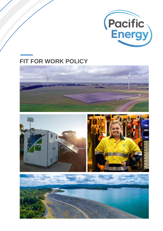

# **FIT FOR WORK POLICY**





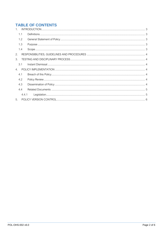## **TABLE OF CONTENTS**

| 1 <sup>1</sup>  |  |  |  |  |
|-----------------|--|--|--|--|
| 1.1             |  |  |  |  |
| 1.2             |  |  |  |  |
| 1.3             |  |  |  |  |
| 1.4             |  |  |  |  |
| 2.              |  |  |  |  |
| 3.              |  |  |  |  |
| $\overline{3}1$ |  |  |  |  |
| $\overline{4}$  |  |  |  |  |
| 4.1             |  |  |  |  |
| 4.2             |  |  |  |  |
| 4.3             |  |  |  |  |
| 4.4             |  |  |  |  |
| 4.4.1           |  |  |  |  |
| 5 <sub>1</sub>  |  |  |  |  |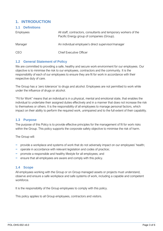## <span id="page-2-0"></span>**1. INTRODUCTION**

<span id="page-2-1"></span>

| <b>1.1 Definitions</b> |                                                                                                                |
|------------------------|----------------------------------------------------------------------------------------------------------------|
| <b>Employees</b>       | All staff, contractors, consultants and temporary workers of the<br>Pacific Energy group of companies (Group). |
| Manager                | An individual employee's direct supervisor/manager                                                             |
| CEO                    | <b>Chief Executive Officer</b>                                                                                 |

#### <span id="page-2-2"></span>**1.2 General Statement of Policy**

We are committed to providing a safe, healthy and secure work environment for our employees. Our objective is to minimise the risk to our employees, contractors and the community. It is the responsibility of each of our employees to ensure they are fit for work in accordance with their respective duty of care.

The Group has a 'zero tolerance' to drugs and alcohol. Employees are not permitted to work while under the influence of drugs or alcohol.

"Fit for Work" means that an individual is in a physical, mental and emotional state, that enables the individual to undertake their assigned duties effectively and in a manner that does not increase the risk to themselves or others. It is the responsibility of all employees to manage personal factors, which impact on their ability to perform the required work, unimpaired and to the full extent of their capability.

#### <span id="page-2-3"></span>**1.3 Purpose**

The purpose of this Policy is to provide effective principles for the management of fit for work risks within the Group. This policy supports the corporate safety objective to minimise the risk of harm.

The Group will:

- provide a workplace and systems of work that do not adversely impact on our employees' health;
- − operate in accordance with relevant legislation and codes of practice;
- − promote a responsible and healthy lifestyle for all employees; and
- − ensure that all employees are aware and comply with this policy.

#### <span id="page-2-4"></span>**1.4 Scope**

All employees working with the Group or on Group managed assets or projects must understand, observe and ensure a safe workplace and safe systems of work, including a capable and competent workforce.

It is the responsibility of the Group employees to comply with this policy.

This policy applies to all Group employees, contractors and visitors.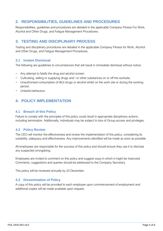## <span id="page-3-0"></span>**2. RESPONSIBILITIES, GUIDELINES AND PROCEDURES**

Responsibilities, guidelines and procedures are detailed in the applicable Company Fitness For Work, Alcohol and Other Drugs, and Fatigue Management Procedures.

## <span id="page-3-1"></span>**3. TESTING AND DISCIPLINARY PROCESS**

Testing and disciplinary procedures are detailed in the applicable Company Fitness for Work, Alcohol and Other Drugs, and Fatigue Management Procedures.

#### <span id="page-3-2"></span>**3.1 Instant Dismissal**

The following are guidelines to circumstances that will result in immediate dismissal without notice:

- − Any attempt to falsify the drug and alcohol screen.
- − Cultivating, selling or supplying drugs and / or other substances on or off the worksite.
- − Unauthorised consumption of illicit drugs or alcohol whilst on the work site or during the working period.
- − Unlawful behaviour.

## <span id="page-3-3"></span>**4. POLICY IMPLEMENTATION**

#### <span id="page-3-4"></span>**4.1 Breach of this Policy**

Failure to comply with the principles of this policy could result in appropriate disciplinary actions, including termination. Additionally, individuals may be subject to loss of Group access and privileges.

#### <span id="page-3-5"></span>**4.2 Policy Review**

The CEO will monitor the effectiveness and review the implementation of this policy, considering its suitability, adequacy and effectiveness. Any improvements identified will be made as soon as possible.

All employees are responsible for the success of this policy and should ensure they use it to disclose any suspected wrongdoing.

Employees are invited to comment on this policy and suggest ways in which it might be improved. Comments, suggestions and queries should be addressed to the Company Secretary.

This policy will be reviewed annually by 20 December.

#### <span id="page-3-6"></span>**4.3 Dissemination of Policy**

A copy of this policy will be provided to each employee upon commencement of employment and additional copies will be made available upon request.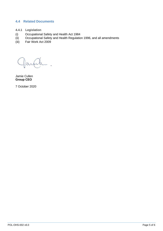#### <span id="page-4-0"></span>**4.4 Related Documents**

- <span id="page-4-1"></span>**4.4.1 Legislation**
- (i) Occupational Safety and Health Act 1984
- (ii) Occupational Safety and Health Regulation 1996, and all amendments
- (iii) Fair Work Act 2009

Jamie Cullen **Group CEO**

7 October 2020